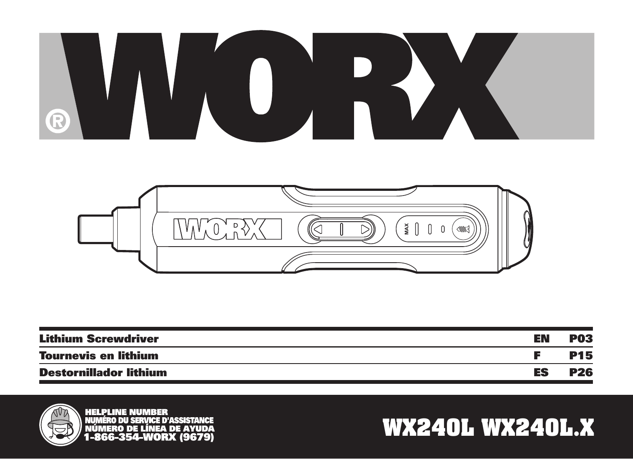



| <b>Lithium Screwdriver</b>    | EN | P03        |
|-------------------------------|----|------------|
| <b>Tournevis en lithium</b>   |    | <b>P15</b> |
| <b>Destornillador lithium</b> | ES | P26        |



MELPL **ASSISTANCE** M **AYUDA**  $(9679)$ 

# **WX240L WX240L.X**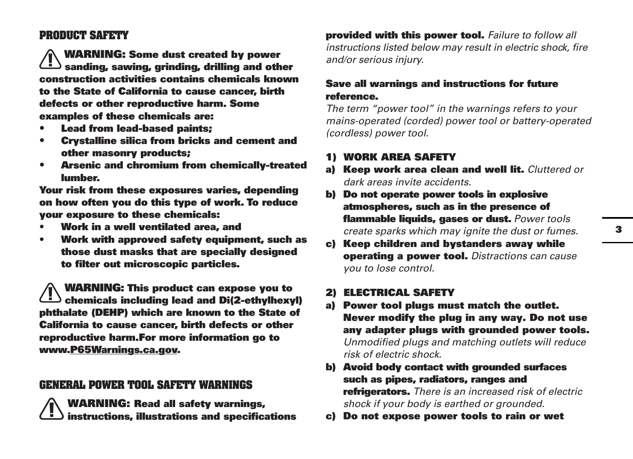#### **PRODUCT SAFETY**

WARNING: Some dust created by power sanding, sawing, grinding, drilling and other construction activities contains chemicals known to the State of California to cause cancer, birth defects or other reproductive harm. Some examples of these chemicals are:

- Lead from lead-based paints;
- Crystalline silica from bricks and cement and other masonry products;
- Arsenic and chromium from chemically-treated lumber.

Your risk from these exposures varies, depending on how often you do this type of work. To reduce your exposure to these chemicals:

- Work in a well ventilated area, and
- Work with approved safety equipment, such as those dust masks that are specially designed to filter out microscopic particles.

WARNING: This product can expose you to chemicals including lead and Di(2-ethylhexyl) phthalate (DEHP) which are known to the State of .<br>California to cause cancer, birth defects or other reproductive harm.For more information go to www.P65Warnings.ca.gov.

#### **GENERAL POWER TOOL SAFETY WARNINGS**

WARNING: Read all safety warnings,  $\ket{\cdot\!}$  instructions, illustrations and specifications

provided with this power tool. *Failure to follow all instructions listed below may result in electric shock, fire and/or serious injury.* 

#### Save all warnings and instructions for future reference.

*The term "power tool" in the warnings refers to your mains-operated (corded) power tool or battery-operated (cordless) power tool.*

#### 1) WORK AREA SAFETY

- a) Keep work area clean and well lit. *Cluttered or dark areas invite accidents.*
- b) Do not operate power tools in explosive atmospheres, such as in the presence of flammable liquids, gases or dust. *Power tools create sparks which may ignite the du*s*t or fumes.*
- c) Keep children and bystanders away while operating a power tool. *Distractions can cause you to lose control.*

#### 2) ELECTRICAL SAFETY

- a) Power tool plugs must match the outlet. Never modify the plug in any way. Do not use any adapter plugs with grounded power tools. *Unmodified plugs and matching outlets will reduce risk of electric shock.*
- b) Avoid body contact with grounded surfaces such as pipes, radiators, ranges and refrigerators. *There is an increased risk of electric shock if your body is earthed or grounded.*
- c) Do not expose power tools to rain or wet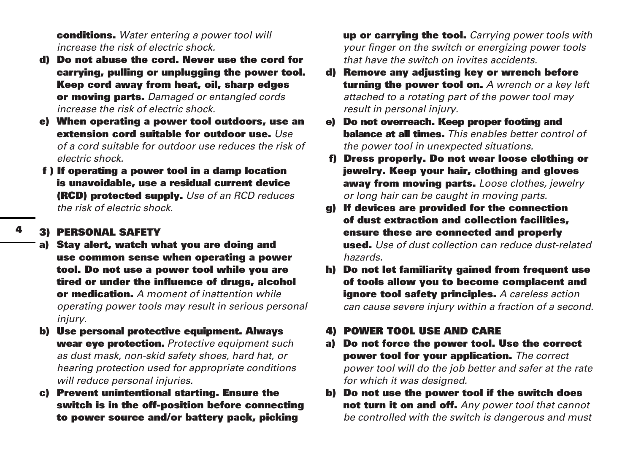conditions. *Water entering a power tool will increase the risk of electric shock.*

- d) Do not abuse the cord. Never use the cord for carrying, pulling or unplugging the power tool. Keep cord away from heat, oil, sharp edges or moving parts. *Damaged or entangled cords increase the risk of electric shock.*
- e) When operating a power tool outdoors, use an extension cord suitable for outdoor use. *Use of a cord suitable for outdoor use reduces the risk of electric shock.*
- f ) If operating a power tool in a damp location is unavoidable, use a residual current device (RCD) protected supply. *Use of an RCD reduces the risk of electric shock.*

#### 4 3) PERSONAL SAFETY

- a) Stay alert, watch what you are doing and use common sense when operating a power tool. Do not use a power tool while you are tired or under the influence of drugs, alcohol or medication. *A moment of inattention while operating power tools may result in serious personal injury.*
- b) Use personal protective equipment. Always wear eve protection. *Protective equipment such as dust mask, non-skid safety shoes, hard hat, or hearing protection used for appropriate conditions will reduce personal injuries.*
- c) Prevent unintentional starting. Ensure the switch is in the off-position before connecting to power source and/or battery pack, picking

up or carrying the tool. *Carrying power tools with your finger on the switch or energizing power tools that have the switch on invites accidents.* 

- d) Remove any adjusting key or wrench before turning the power tool on. *A wrench or a key left attached to a rotating part of the power tool may result in personal injury.*
- e) Do not overreach. Keep proper footing and balance at all times. *This enables better control of the power tool in unexpected situations.*
- f) Dress properly. Do not wear loose clothing or jewelry. Keep your hair, clothing and gloves away from moving parts. *Loose clothes, jewelry or long hair can be caught in moving parts.*
- g) If devices are provided for the connection of dust extraction and collection facilities, ensure these are connected and properly used. *Use of dust collection can reduce dust-related hazards.*
- h) Do not let familiarity gained from frequent use of tools allow you to become complacent and ignore tool safety principles. *A careless action can cause severe injury within a fraction of a second.*

#### 4) POWER TOOL USE AND CARE

- a) Do not force the power tool. Use the correct power tool for your application. *The correct power tool will do the job better and safer at the rate for which it was designed.*
- b) Do not use the power tool if the switch does not turn it on and off. *Any power tool that cannot be controlled with the switch is dangerous and must*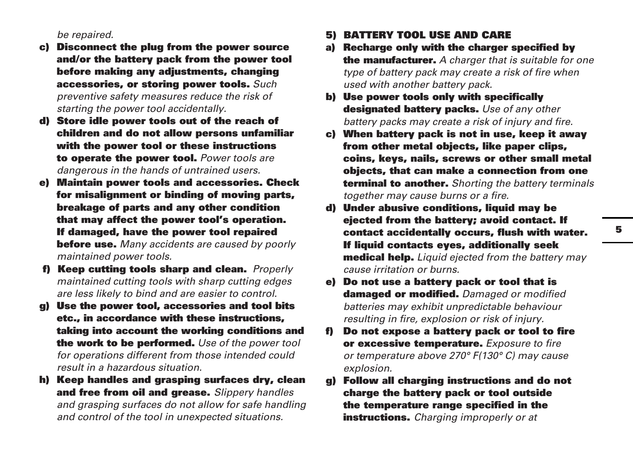*be repaired.*

- c) Disconnect the plug from the power source and/or the battery pack from the power tool before making any adjustments, changing accessories, or storing power tools. *Such preventive safety measures reduce the risk of starting the power tool accidentally.*
- d) Store idle power tools out of the reach of children and do not allow persons unfamiliar with the power tool or these instructions to operate the power tool. *Power tools are dangerous in the hands of untrained users.*
- e) Maintain power tools and accessories. Check for misalignment or binding of moving parts, breakage of parts and any other condition that may affect the power tool's operation. If damaged, have the power tool repaired before use. *Many accidents are caused by poorly maintained power tools.*
- f) Keep cutting tools sharp and clean. *Properly maintained cutting tools with sharp cutting edges are less likely to bind and are easier to control.*
- g) Use the power tool, accessories and tool bits etc., in accordance with these instructions, taking into account the working conditions and the work to be performed. *Use of the power tool for operations different from those intended could result in a hazardous situation.*
- h) Keep handles and grasping surfaces dry, clean and free from oil and grease. *Slippery handles and grasping surfaces do not allow for safe handling and control of the tool in unexpected situations.*
- 5) BATTERY TOOL USE AND CARE
- a) Recharge only with the charger specified by the manufacturer. *A charger that is suitable for one type of battery pack may create a risk of fire when used with another battery pack.*
- b) Use power tools only with specifically designated battery packs. *Use of any other battery packs may create a risk of injury and fire.*
- c) When battery pack is not in use, keep it away from other metal objects, like paper clips, coins, keys, nails, screws or other small metal objects, that can make a connection from one terminal to another. *Shorting the battery terminals together may cause burns or a fire.*
- d) Under abusive conditions, liquid may be ejected from the battery; avoid contact. If contact accidentally occurs, flush with water. If liquid contacts eyes, additionally seek medical help. *Liquid ejected from the battery may cause irritation or burns.*
- e) Do not use a battery pack or tool that is damaged or modified. *Damaged or modified batteries may exhibit unpredictable behaviour resulting in fire, explosion or risk of injury.*
- f) Do not expose a battery pack or tool to fire or excessive temperature. *Exposure to fire or temperature above 270° F(130° C) may cause explosion.*
- g) Follow all charging instructions and do not charge the battery pack or tool outside the temperature range specified in the instructions. *Charging improperly or at*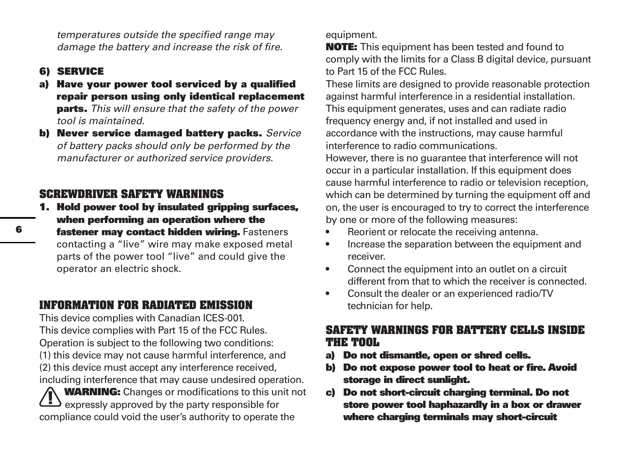*temperatures outside the specified range may damage the battery and increase the risk of fire.*

#### 6) SERVICE

- a) Have your power tool serviced by a qualified repair person using only identical replacement parts. *This will ensure that the safety of the power tool is maintained.*
- b) Never service damaged battery packs. *Service of battery packs should only be performed by the manufacturer or authorized service providers.*

#### **SCREWDRIVER SAFETY WARNINGS**

- 1. Hold power tool by insulated gripping surfaces, when performing an operation where the
- fastener may contact hidden wiring. Fasteners contacting a "live" wire may make exposed metal parts of the power tool "live" and could give the operator an electric shock.

#### **INFORMATION FOR RADIATED EMISSION**

This device complies with Canadian ICES-001. This device complies with Part 15 of the FCC Rules. Operation is subject to the following two conditions: (1) this device may not cause harmful interference, and (2) this device must accept any interference received, including interference that may cause undesired operation. WARNING: Changes or modifications to this unit not **EXPRESSIV** approved by the party responsible for compliance could void the user's authority to operate the

#### equipment.

NOTE: This equipment has been tested and found to comply with the limits for a Class B digital device, pursuant to Part 15 of the FCC Rules.

These limits are designed to provide reasonable protection against harmful interference in a residential installation. This equipment generates, uses and can radiate radio frequency energy and, if not installed and used in accordance with the instructions, may cause harmful interference to radio communications.

However, there is no guarantee that interference will not occur in a particular installation. If this equipment does cause harmful interference to radio or television reception, which can be determined by turning the equipment off and on, the user is encouraged to try to correct the interference by one or more of the following measures:

- Reorient or relocate the receiving antenna.
- Increase the separation between the equipment and receiver.
- Connect the equipment into an outlet on a circuit different from that to which the receiver is connected.
- Consult the dealer or an experienced radio/TV technician for help.

#### **SAFETY WARNINGS FOR BATTERY CELLS INSIDE THE TOOL**

- a) Do not dismantle, open or shred cells.
- b) Do not expose power tool to heat or fire. Avoid storage in direct sunlight.
- c) Do not short-circuit charging terminal. Do not store power tool haphazardly in a box or drawer where charging terminals may short-circuit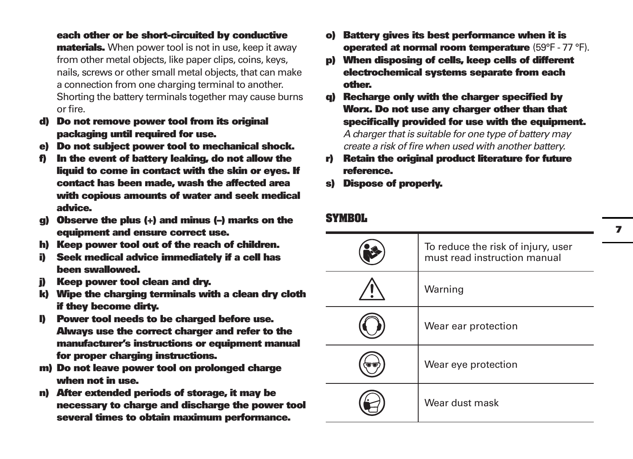#### each other or be short-circuited by conductive

materials. When power tool is not in use, keep it away from other metal objects, like paper clips, coins, keys, nails, screws or other small metal objects, that can make a connection from one charging terminal to another. Shorting the battery terminals together may cause burns or fire.

- d) Do not remove power tool from its original packaging until required for use.
- e) Do not subject power tool to mechanical shock.
- f) In the event of battery leaking, do not allow the liquid to come in contact with the skin or eyes. If contact has been made, wash the affected area with copious amounts of water and seek medical advice.
- g) Observe the plus (+) and minus (–) marks on the equipment and ensure correct use.
- h) Keep power tool out of the reach of children.
- i) Seek medical advice immediately if a cell has been swallowed.
- j) Keep power tool clean and dry.
- k) Wipe the charging terminals with a clean dry cloth if they become dirty.
- l) Power tool needs to be charged before use. Always use the correct charger and refer to the manufacturer's instructions or equipment manual for proper charging instructions.
- m) Do not leave power tool on prolonged charge when not in use.
- n) After extended periods of storage, it may be necessary to charge and discharge the power tool several times to obtain maximum performance.
- o) Battery gives its best performance when it is operated at normal room temperature (59°F - 77 °F).
- p) When disposing of cells, keep cells of different electrochemical systems separate from each other.
- q) Recharge only with the charger specified by Worx. Do not use any charger other than that specifically provided for use with the equipment. *A charger that is suitable for one type of battery may create a risk of fire when used with another battery.*
- r) Retain the original product literature for future reference.
- s) Dispose of properly.

#### **SYMBOL**

| To reduce the risk of injury, user<br>must read instruction manual |
|--------------------------------------------------------------------|
| Warning                                                            |
| Wear ear protection                                                |
| Wear eye protection                                                |
| Wear dust mask                                                     |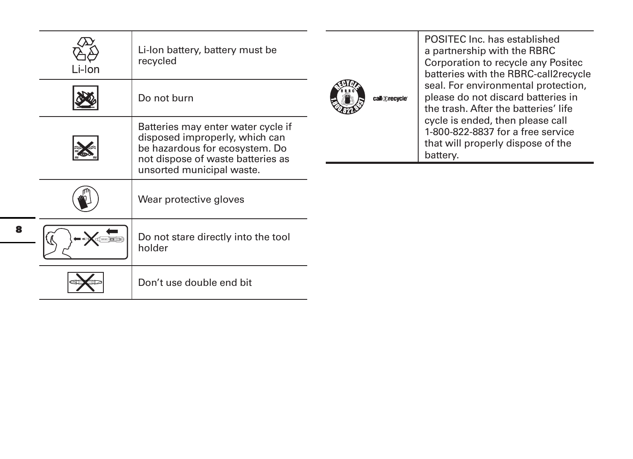|   | Li-lon | Li-lon battery, battery must be<br>recycled                                                                                                                              |              | POSITEC Inc. has established<br>a partnership with the RBRC<br>Corporation to recycle any Positec<br>batteries with the RBRC-call2recycle |
|---|--------|--------------------------------------------------------------------------------------------------------------------------------------------------------------------------|--------------|-------------------------------------------------------------------------------------------------------------------------------------------|
|   |        | Do not burn                                                                                                                                                              | call@recycle | seal. For environmental protection,<br>please do not discard batteries in<br>the trash. After the batteries' life                         |
|   |        | Batteries may enter water cycle if<br>disposed improperly, which can<br>be hazardous for ecosystem. Do<br>not dispose of waste batteries as<br>unsorted municipal waste. |              | cycle is ended, then please call<br>1-800-822-8837 for a free service<br>that will properly dispose of the<br>battery.                    |
|   |        | Wear protective gloves                                                                                                                                                   |              |                                                                                                                                           |
| 8 |        | Do not stare directly into the tool<br>holder                                                                                                                            |              |                                                                                                                                           |
|   |        | Don't use double end bit                                                                                                                                                 |              |                                                                                                                                           |
|   |        |                                                                                                                                                                          |              |                                                                                                                                           |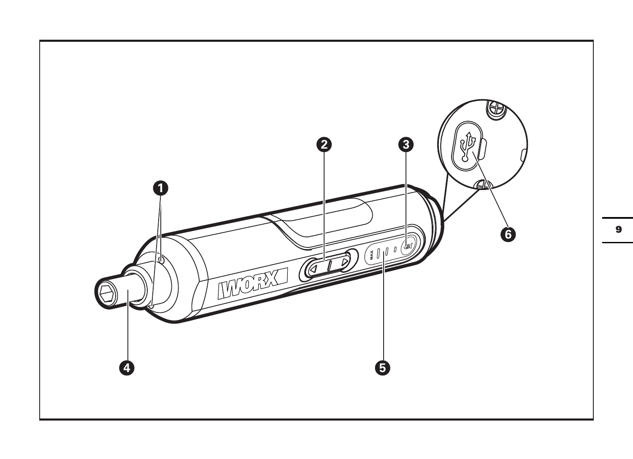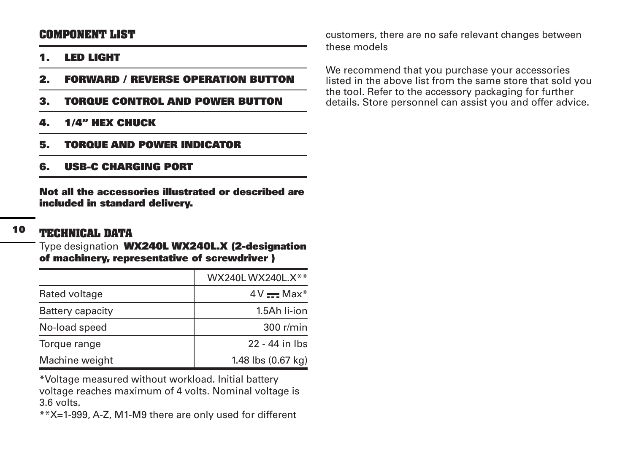#### **COMPONENT LIST**

#### 1. LED LIGHT

- 2. FORWARD / REVERSE OPERATION BUTTON
- 3. TORQUE CONTROL AND POWER BUTTON
- 4. 1/4" HEX CHUCK
- 5. TOROUE AND POWER INDICATOR
- 6. USB-C CHARGING PORT

Not all the accessories illustrated or described are included in standard delivery.

#### 10 **TECHNICAL DATA**

Type designation **WX240L WX240L.X (2-designation** of machinery, representative of screwdriver )

|                  | WX240LWX240L.X**   |
|------------------|--------------------|
| Rated voltage    | $4V = Max*$        |
| Battery capacity | 1.5Ah li-ion       |
| No-load speed    | 300 r/min          |
| Torque range     | 22 - 44 in lbs     |
| Machine weight   | 1.48 lbs (0.67 kg) |

\*Voltage measured without workload. Initial battery voltage reaches maximum of 4 volts. Nominal voltage is 3.6 volts.

\*\*X=1-999, A-Z, M1-M9 there are only used for different

customers, there are no safe relevant changes between these models

We recommend that you purchase your accessories listed in the above list from the same store that sold you the tool. Refer to the accessory packaging for further details. Store personnel can assist you and offer advice.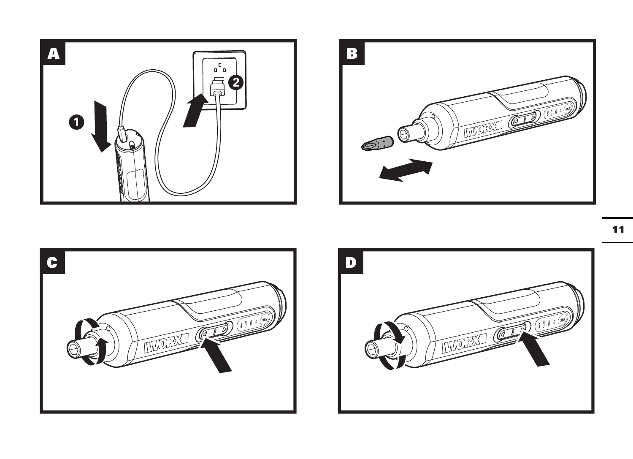



C C<br>
<br>
<br>
<br>
<br>
<br>
<br>
<br><br><br><br><br><br><br> MORE GROUND

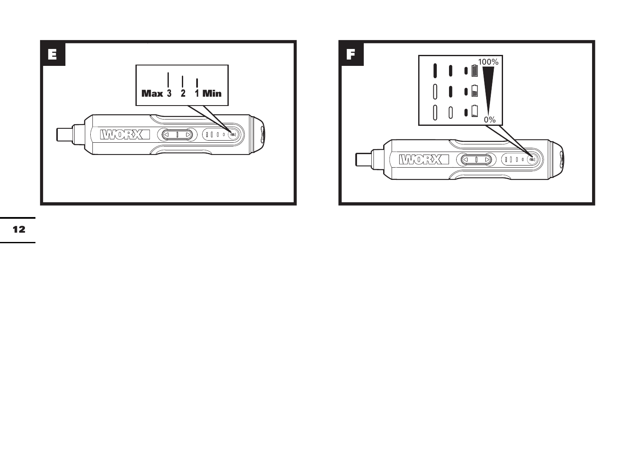

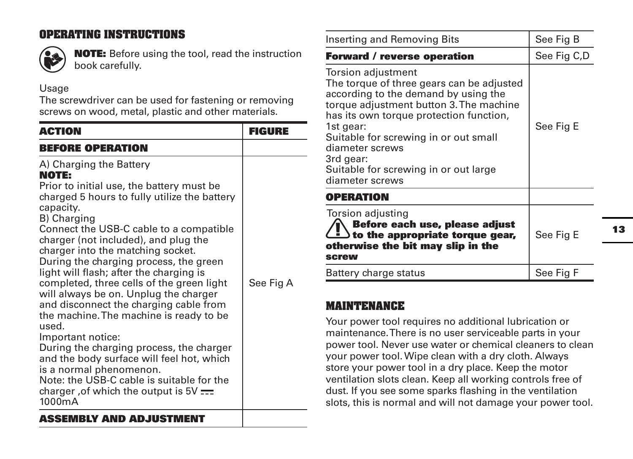## **OPERATING INSTRUCTIONS**



NOTE: Before using the tool, read the instruction book carefully.

#### Usage

The screwdriver can be used for fastening or removing screws on wood, metal, plastic and other materials.

| <b>ACTION</b>                                                                                                                                                                                                                                                                                                                                                                                                                                                                                                                                                                                                                                                                                                                                                                                                | <b>FIGURE</b> |
|--------------------------------------------------------------------------------------------------------------------------------------------------------------------------------------------------------------------------------------------------------------------------------------------------------------------------------------------------------------------------------------------------------------------------------------------------------------------------------------------------------------------------------------------------------------------------------------------------------------------------------------------------------------------------------------------------------------------------------------------------------------------------------------------------------------|---------------|
| <b><i>BEFORE OPERATION</i></b>                                                                                                                                                                                                                                                                                                                                                                                                                                                                                                                                                                                                                                                                                                                                                                               |               |
| A) Charging the Battery<br><b>NOTE:</b><br>Prior to initial use, the battery must be<br>charged 5 hours to fully utilize the battery<br>capacity.<br>B) Charging<br>Connect the USB-C cable to a compatible<br>charger (not included), and plug the<br>charger into the matching socket.<br>During the charging process, the green<br>light will flash; after the charging is<br>completed, three cells of the green light<br>will always be on. Unplug the charger<br>and disconnect the charging cable from<br>the machine. The machine is ready to be<br>Lised.<br>Important notice:<br>During the charging process, the charger<br>and the body surface will feel hot, which<br>is a normal phenomenon.<br>Note: the USB-C cable is suitable for the<br>charger, of which the output is $5V =$<br>1000mA | See Fig A     |
| <b>ASSEMBLY AND ADJUSTMENT</b>                                                                                                                                                                                                                                                                                                                                                                                                                                                                                                                                                                                                                                                                                                                                                                               |               |

| Inserting and Removing Bits                                                                                                                                                                                                                                                                                                                            | See Fig B   |
|--------------------------------------------------------------------------------------------------------------------------------------------------------------------------------------------------------------------------------------------------------------------------------------------------------------------------------------------------------|-------------|
| <b>Forward / reverse operation</b>                                                                                                                                                                                                                                                                                                                     | See Fig C,D |
| <b>Torsion adjustment</b><br>The torque of three gears can be adjusted<br>according to the demand by using the<br>torque adjustment button 3. The machine<br>has its own torque protection function,<br>1st gear:<br>Suitable for screwing in or out small<br>diameter screws<br>3rd gear:<br>Suitable for screwing in or out large<br>diameter screws | See Fig E   |
| <b>OPERATION</b>                                                                                                                                                                                                                                                                                                                                       |             |
| Torsion adjusting<br>Before each use, please adjust<br><u>/ :</u><br>$\Delta$ to the appropriate torque gear,<br>otherwise the bit may slip in the<br>screw                                                                                                                                                                                            | See Fig E   |
| Battery charge status                                                                                                                                                                                                                                                                                                                                  | See Fig F   |

#### **MAINTENANCE**

Your power tool requires no additional lubrication or maintenance. There is no user serviceable parts in your power tool. Never use water or chemical cleaners to clean your power tool. Wipe clean with a dry cloth. Always store your power tool in a dry place. Keep the motor ventilation slots clean. Keep all working controls free of dust. If you see some sparks flashing in the ventilation slots, this is normal and will not damage your power tool.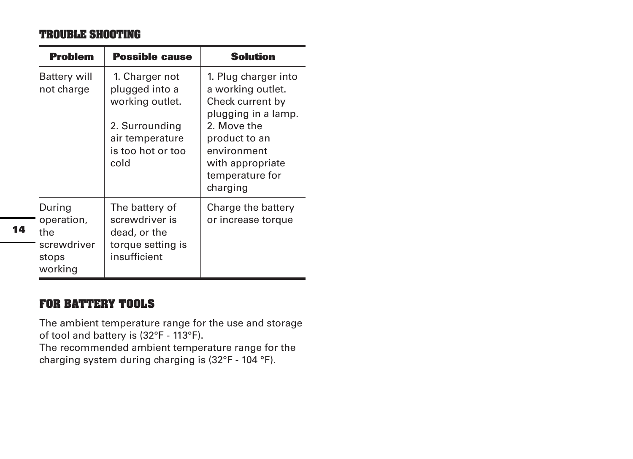### **TROUBLE SHOOTING**

| Problem                                                        | <b>Possible cause</b>                                                                                                 | <b>Solution</b>                                                                                                                                                                        |
|----------------------------------------------------------------|-----------------------------------------------------------------------------------------------------------------------|----------------------------------------------------------------------------------------------------------------------------------------------------------------------------------------|
| Battery will<br>not charge                                     | 1. Charger not<br>plugged into a<br>working outlet.<br>2. Surrounding<br>air temperature<br>is too hot or too<br>cold | 1. Plug charger into<br>a working outlet.<br>Check current by<br>plugging in a lamp.<br>2. Move the<br>product to an<br>environment<br>with appropriate<br>temperature for<br>charging |
| During<br>operation,<br>the<br>screwdriver<br>stops<br>working | The battery of<br>screwdriver is<br>dead, or the<br>torque setting is<br>insufficient                                 | Charge the battery<br>or increase torque                                                                                                                                               |

### **FOR BATTERY TOOLS**

The ambient temperature range for the use and storage of tool and battery is (32°F - 113°F).

The recommended ambient temperature range for the charging system during charging is (32°F - 104 °F).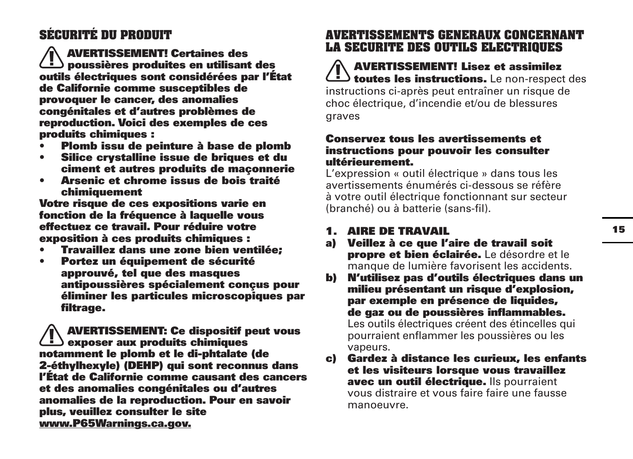## **SÉCURITÉ DU PRODUIT**

AVERTISSEMENT! Certaines des  $\langle \mathbf{P} \rangle$  poussières produites en utilisant des outils électriques sont considérées par l'État de Californie comme susceptibles de provoquer le cancer, des anomalies congénitales et d'autres problèmes de reproduction. Voici des exemples de ces produits chimiques :

- Plomb issu de peinture à base de plomb
- Silice crystalline issue de briques et du ciment et autres produits de maçonnerie
- Arsenic et chrome issus de bois traité chimiquement

Votre risque de ces expositions varie en fonction de la fréquence à laquelle vous effectuez ce travail. Pour réduire votre exposition à ces produits chimiques :

- Travaillez dans une zone bien ventilée;
- Portez un équipement de sécurité approuvé, tel que des masques antipoussières spécialement conçus pour éliminer les particules microscopiques par filtrage.

AVERTISSEMENT: Ce dispositif peut vous **EXPLO EXPLORER CHEVALUS**<br>
EXPOSER AUX produits chimiques notamment le plomb et le di-phtalate (de 2-éthylhexyle) (DEHP) qui sont reconnus dans l'État de Californie comme causant des cancers et des anomalies congénitales ou d'autres anomalies de la reproduction. Pour en savoir plus, veuillez consulter le site www.P65Warnings.ca.gov.

#### **AVERTISSEMENTS GENERAUX CONCERNANT LA SECURITE DES OUTILS ELECTRIQUES**

#### AVERTISSEMENT! Lisez et assimilez toutes les instructions. Le non-respect des instructions ci-après peut entraîner un risque de choc électrique, d'incendie et/ou de blessures graves

#### Conservez tous les avertissements et instructions pour pouvoir les consulter ultérieurement.

L'expression « outil électrique » dans tous les avertissements énumérés ci-dessous se réfère à votre outil électrique fonctionnant sur secteur (branché) ou à batterie (sans-fil).

#### 1. AIRE DE TRAVAIL

- a) Veillez à ce que l'aire de travail soit propre et bien éclairée. Le désordre et le manque de lumière favorisent les accidents.
- b) N'utilisez pas d'outils électriques dans un milieu présentant un risque d'explosion, par exemple en présence de liquides, de gaz ou de poussières inflammables. Les outils électriques créent des étincelles qui pourraient enflammer les poussières ou les vapeurs.
- c) Gardez à distance les curieux, les enfants et les visiteurs lorsque vous travaillez avec un outil électrique. Ils pourraient vous distraire et vous faire faire une fausse manoeuvre.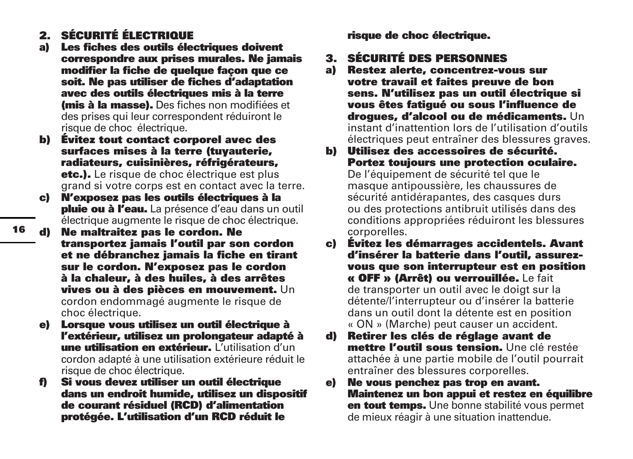## 2. SÉCURITÉ ÉLECTRIQUE

- a) Les fiches des outils électriques doivent correspondre aux prises murales. Ne jamais modifier la fiche de quelque façon que ce soit. Ne pas utiliser de fiches d'adaptation avec des outils électriques mis à la terre (mis à la masse). Des fiches non modifiées et des prises qui leur correspondent réduiront le risque de choc électrique.
- b) Évitez tout contact corporel avec des surfaces mises à la terre (tuyauterie, radiateurs, cuisinières, réfrigérateurs, etc.). Le risque de choc électrique est plus grand si votre corps est en contact avec la terre.
- c) N'exposez pas les outils électriques à la pluie ou à l'eau. La présence d'eau dans un outil électrique augmente le risque de choc électrique.
- 16 d) Ne maltraitez pas le cordon. Ne transportez jamais l'outil par son cordon et ne débranchez jamais la fiche en tirant sur le cordon. N'exposez pas le cordon à la chaleur, à des huiles, à des arrêtes vives ou à des pièces en mouvement. Un cordon endommagé augmente le risque de choc électrique.
	- e) Lorsque vous utilisez un outil électrique à l'extérieur, utilisez un prolongateur adapté à une utilisation en extérieur. L'utilisation d'un cordon adapté à une utilisation extérieure réduit le risque de choc électrique.
	- f) Si vous devez utiliser un outil électrique dans un endroit humide, utilisez un dispositif de courant résiduel (RCD) d'alimentation protégée. L'utilisation d'un RCD réduit le

risque de choc électrique.

# 3. SÉCURITÉ DES PERSONNES<br>a) Restez alerte, concentrez-vo

- Restez alerte, concentrez-vous sur votre travail et faites preuve de bon sens. N'utilisez pas un outil électrique si vous êtes fatigué ou sous l'influence de drogues, d'alcool ou de médicaments. Un instant d'inattention lors de l'utilisation d'outils électriques peut entraîner des blessures graves.
- b) Utilisez des accessoires de sécurité. Portez toujours une protection oculaire. De l'équipement de sécurité tel que le masque antipoussière, les chaussures de sécurité antidérapantes, des casques durs ou des protections antibruit utilisés dans des conditions appropriées réduiront les blessures corporelles.
- c) Évitez les démarrages accidentels. Avant d'insérer la batterie dans l'outil, assurezvous que son interrupteur est en position « OFF » (Arrêt) ou verrouillée. Le fait de transporter un outil avec le doigt sur la détente/l'interrupteur ou d'insérer la batterie dans un outil dont la détente est en position « ON » (Marche) peut causer un accident.
- d) Retirer les clés de réglage avant de mettre l'outil sous tension. Une clé restée attachée à une partie mobile de l'outil pourrait entraîner des blessures corporelles.
- e) Ne vous penchez pas trop en avant. Maintenez un bon appui et restez en équilibre en tout temps. Une bonne stabilité vous permet de mieux réagir à une situation inattendue.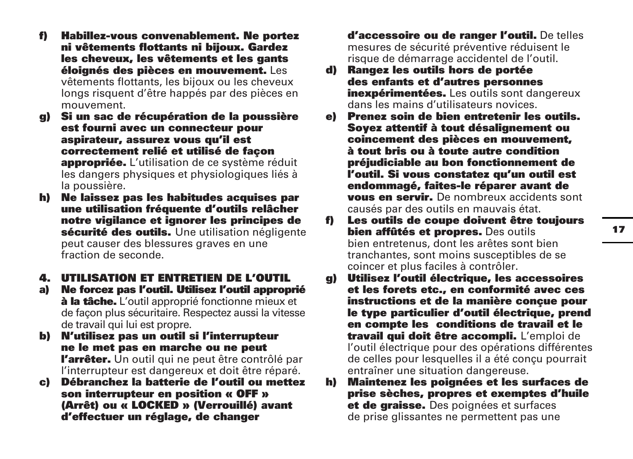- f) Habillez-vous convenablement. Ne portez ni vêtements flottants ni bijoux. Gardez les cheveux, les vêtements et les gants éloignés des pièces en mouvement. Les vêtements flottants, les bijoux ou les cheveux longs risquent d'être happés par des pièces en mouvement.
- g) Si un sac de récupération de la poussière est fourni avec un connecteur pour aspirateur, assurez vous qu'il est correctement relié et utilisé de façon appropriée. L'utilisation de ce système réduit les dangers physiques et physiologiques liés à la poussière.
- h) Ne laissez pas les habitudes acquises par une utilisation fréquente d'outils relâcher notre vigilance et ignorer les principes de sécurité des outils. Une utilisation négligente peut causer des blessures graves en une fraction de seconde.

#### 4. UTILISATION ET ENTRETIEN DE L'OUTIL

- a) Ne forcez pas l'outil. Utilisez l'outil approprié à la tâche. L'outil approprié fonctionne mieux et de façon plus sécuritaire. Respectez aussi la vitesse de travail qui lui est propre.
- b) N'utilisez pas un outil si l'interrupteur ne le met pas en marche ou ne peut l'arrêter. Un outil qui ne peut être contrôlé par l'interrupteur est dangereux et doit être réparé.
- c) Débranchez la batterie de l'outil ou mettez son interrupteur en position « OFF » (Arrêt) ou « LOCKED » (Verrouillé) avant d'effectuer un réglage, de changer

d'accessoire ou de ranger l'outil. De telles mesures de sécurité préventive réduisent le risque de démarrage accidentel de l'outil.

- d) Rangez les outils hors de portée des enfants et d'autres personnes inexpérimentées. Les outils sont dangereux dans les mains d'utilisateurs novices.
- e) Prenez soin de bien entretenir les outils. Soyez attentif à tout désalignement ou coincement des pièces en mouvement, à tout bris ou à toute autre condition préjudiciable au bon fonctionnement de l'outil. Si vous constatez qu'un outil est endommagé, faites-le réparer avant de vous en servir. De nombreux accidents sont causés par des outils en mauvais état.
- f) Les outils de coupe doivent être toujours bien affûtés et propres. Des outils bien entretenus, dont les arêtes sont bien tranchantes, sont moins susceptibles de se coincer et plus faciles à contrôler.
- g) Utilisez l'outil électrique, les accessoires et les forets etc., en conformité avec ces instructions et de la manière conçue pour le type particulier d'outil électrique, prend en compte les conditions de travail et le travail qui doit être accompli. L'emploi de l'outil électrique pour des opérations différentes de celles pour lesquelles il a été conçu pourrait entraîner une situation dangereuse.
- h) Maintenez les poignées et les surfaces de prise sèches, propres et exemptes d'huile et de graisse. Des poignées et surfaces de prise glissantes ne permettent pas une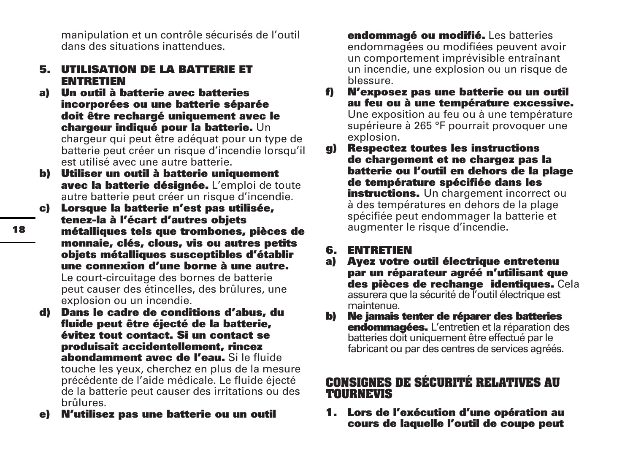manipulation et un contrôle sécurisés de l'outil dans des situations inattendues.

#### 5. UTILISATION DE LA BATTERIE ET ENTRETIEN

- a) Un outil à batterie avec batteries incorporées ou une batterie séparée doit être rechargé uniquement avec le chargeur indiqué pour la batterie. Un chargeur qui peut être adéquat pour un type de batterie peut créer un risque d'incendie lorsqu'il est utilisé avec une autre batterie.
- b) Utiliser un outil à batterie uniquement avec la batterie désignée. L'emploi de toute autre batterie peut créer un risque d'incendie.
- c) Lorsque la batterie n'est pas utilisée, tenez-la à l'écart d'autres objets
- métalliques tels que trombones, pièces de monnaie, clés, clous, vis ou autres petits objets métalliques susceptibles d'établir une connexion d'une borne à une autre. Le court-circuitage des bornes de batterie peut causer des étincelles, des brûlures, une explosion ou un incendie.
- d) Dans le cadre de conditions d'abus, du fluide peut être éjecté de la batterie, évitez tout contact. Si un contact se produisait accidentellement, rincez abondamment avec de l'eau. Si le fluide touche les yeux, cherchez en plus de la mesure précédente de l'aide médicale. Le fluide éjecté de la batterie peut causer des irritations ou des brûlures.
- e) N'utilisez pas une batterie ou un outil

endommagé ou modifié. Les batteries endommagées ou modifiées peuvent avoir un comportement imprévisible entraînant un incendie, une explosion ou un risque de blessure.

- f) N'exposez pas une batterie ou un outil au feu ou à une température excessive. Une exposition au feu ou à une température supérieure à 265 °F pourrait provoquer une explosion.
- g) Respectez toutes les instructions de chargement et ne chargez pas la batterie ou l'outil en dehors de la plage de température spécifiée dans les instructions. Un chargement incorrect ou à des températures en dehors de la plage spécifiée peut endommager la batterie et augmenter le risque d'incendie.

#### 6. ENTRETIEN

- a) Avez votre outil électrique entretenu par un réparateur agréé n'utilisant que des pièces de rechange identiques. Cela assurera que la sécurité de l'outil électrique est maintenue.
- b) Ne jamais tenter de réparer des batteries endommagées. L'entretien et la réparation des batteries doit uniquement être effectué par le fabricant ou par des centres de services agréés.

### **CONSIGNES DE SÉCURITÉ RELATIVES AU TOURNEVIS**

1. Lors de l'exécution d'une opération au cours de laquelle l'outil de coupe peut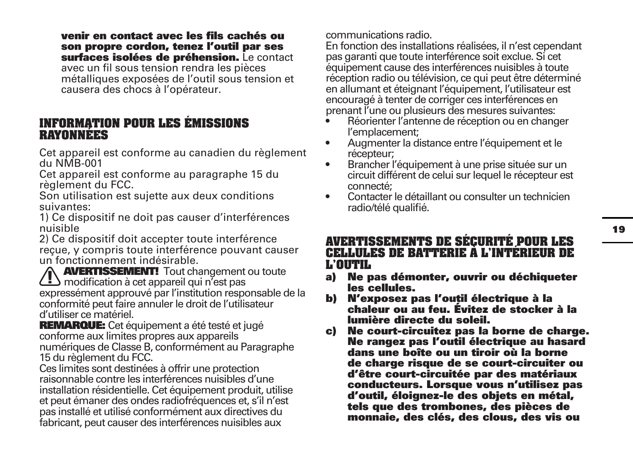venir en contact avec les fils cachés ou son propre cordon, tenez l'outil par ses surfaces isolées de préhension. Le contact avec un fil sous tension rendra les pièces métalliques exposées de l'outil sous tension et causera des chocs à l'opérateur.

# **INFORMATION POUR LES ÉMISSIONS RAYONNÉES**

Cet appareil est conforme au canadien du règlement du NMB-001

Cet appareil est conforme au paragraphe 15 du règlement du FCC.

Son utilisation est sujette aux deux conditions suivantes:

1) Ce dispositif ne doit pas causer d'interférences nuisible

2) Ce dispositif doit accepter toute interférence reçue, y compris toute interférence pouvant causer un fonctionnement indésirable.

**AVERTISSEMENT!** Tout changement ou toute  $\sum$  modification à cet appareil qui n'est pas expressément approuvé par l'institution responsable de la conformité peut faire annuler le droit de l'utilisateur d'utiliser ce matériel.

REMARQUE: Cet équipement a été testé et jugé conforme aux limites propres aux appareils numériques de Classe B, conformément au Paragraphe 15 du règlement du FCC.

Ces limites sont destinées à offrir une protection raisonnable contre les interférences nuisibles d'une installation résidentielle. Cet équipement produit, utilise et peut émaner des ondes radiofréquences et, s'il n'est pas installé et utilisé conformément aux directives du fabricant, peut causer des interférences nuisibles aux

communications radio.

En fonction des installations réalisées, il n'est cependant pas garanti que toute interférence soit exclue. Si cet équipement cause des interférences nuisibles à toute réception radio ou télévision, ce qui peut être déterminé en allumant et éteignant l'équipement, l'utilisateur est encouragé à tenter de corriger ces interférences en prenant l'une ou plusieurs des mesures suivantes:

- Réorienter l'antenne de réception ou en changer<br>l'emplacement:
- **Augmenter la distance entre l'équipement et le<br>récepteur:**
- **•** Brancher l'équipement à une prise située sur un circuit différent de celui sur lequel le récepteur est<br>connecté
- Contacter le détaillant ou consulter un technicien radio/télé qualifié.

## **AVERTISSEMENTS DE SÉCURITÉ POUR LES CELLULES DE BATTERIE À L'INTÉRIEUR DE L'OUTIL**

- a) Ne pas démonter, ouvrir ou déchiqueter les cellules.
- b) N'exposez pas l'outil électrique à la chaleur ou au feu. Évitez de stocker à la lumière directe du soleil.
- c) Ne court-circuitez pas la borne de charge. Ne rangez pas l'outil électrique au hasard dans une boîte ou un tiroir où la borne de charge risque de se court-circuiter ou d'être court-circuitée par des matériaux conducteurs. Lorsque vous n'utilisez pas d'outil, éloignez-le des objets en métal, tels que des trombones, des pièces de monnaie, des clés, des clous, des vis ou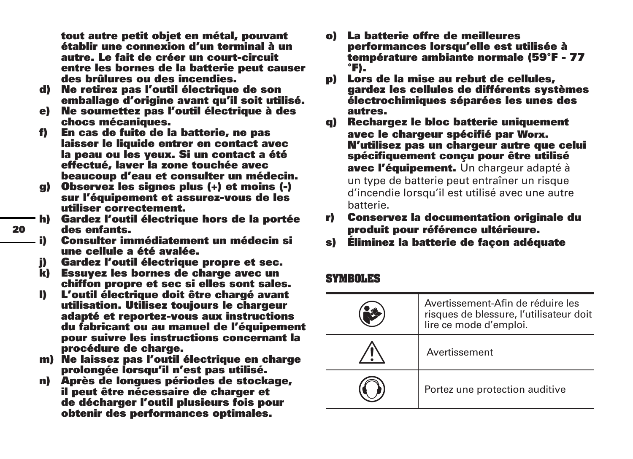tout autre petit objet en métal, pouvant établir une connexion d'un terminal à un autre. Le fait de créer un court-circuit entre les bornes de la batterie peut causer des brûlures ou des incendies.

- d) Ne retirez pas l'outil électrique de son emballage d'origine avant qu'il soit utilisé.
- e) Ne soumettez pas l'outil électrique à des chocs mécaniques.
- f) En cas de fuite de la batterie, ne pas laisser le liquide entrer en contact avec la peau ou les yeux. Si un contact a été effectué, laver la zone touchée avec beaucoup d'eau et consulter un médecin.
- g) Observez les signes plus (+) et moins (-) sur l'équipement et assurez-vous de les utiliser correctement.
- h) Gardez l'outil électrique hors de la portée des enfants.
- i) Consulter immédiatement un médecin si une cellule a été avalée.
- Gardez l'outil électrique propre et sec.

20

- k) Essuyez les bornes de charge avec un chiffon propre et sec si elles sont sales.
- l) L'outil électrique doit être chargé avant utilisation. Utilisez toujours le chargeur adapté et reportez-vous aux instructions du fabricant ou au manuel de l'équipement pour suivre les instructions concernant la procédure de charge.
- m) Ne laissez pas l'outil électrique en charge prolongée lorsqu'il n'est pas utilisé.
- n) Après de longues périodes de stockage, il peut être nécessaire de charger et de décharger l'outil plusieurs fois pour obtenir des performances optimales.
- o) La batterie offre de meilleures performances lorsqu'elle est utilisée à température ambiante normale (59°F - 77 °F).
- p) Lors de la mise au rebut de cellules, gardez les cellules de différents systèmes électrochimiques séparées les unes des autres.
- q) Rechargez le bloc batterie uniquement avec le chargeur spécifié par Worx. N'utilisez pas un chargeur autre que celui spécifiquement conçu pour être utilisé avec l'équipement. Un chargeur adapté à un type de batterie peut entraîner un risque d'incendie lorsqu'il est utilisé avec une autre batterie.
- r) Conservez la documentation originale du produit pour référence ultérieure.
- s) Éliminez la batterie de façon adéquate

#### **SYMBOLES**

| Avertissement-Afin de réduire les<br>risques de blessure, l'utilisateur doit<br>lire ce mode d'emploi. |
|--------------------------------------------------------------------------------------------------------|
| Avertissement                                                                                          |
| Portez une protection auditive                                                                         |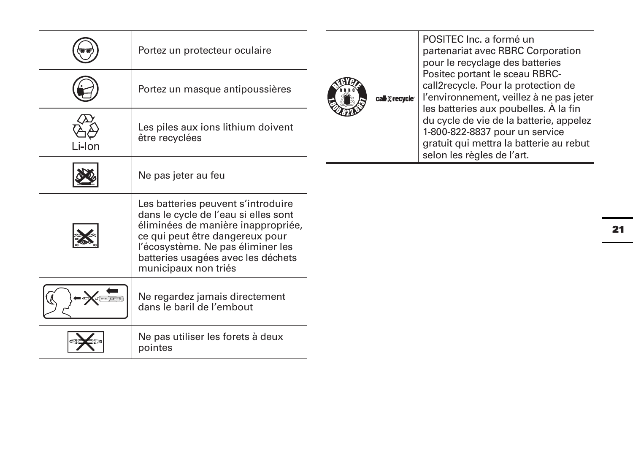|        | Portez un protecteur oculaire                                                                                                                                                                                                                          |                | POSITEC Inc. a formé un<br>partenariat avec RBRC Corporation<br>pour le recyclage des batteries                                                           |
|--------|--------------------------------------------------------------------------------------------------------------------------------------------------------------------------------------------------------------------------------------------------------|----------------|-----------------------------------------------------------------------------------------------------------------------------------------------------------|
|        | Portez un masque antipoussières                                                                                                                                                                                                                        | call 2 recycle | Positec portant le sceau RBRC-<br>call2recycle. Pour la protection de<br>l'environnement, veillez à ne pas jeter<br>les batteries aux poubelles. À la fin |
| Li-Ion | Les piles aux ions lithium doivent<br>être recyclées                                                                                                                                                                                                   |                | du cycle de vie de la batterie, appelez<br>1-800-822-8837 pour un service<br>gratuit qui mettra la batterie au rebut<br>selon les règles de l'art.        |
|        | Ne pas jeter au feu                                                                                                                                                                                                                                    |                |                                                                                                                                                           |
|        | Les batteries peuvent s'introduire<br>dans le cycle de l'eau si elles sont<br>éliminées de manière inappropriée,<br>ce qui peut être dangereux pour<br>l'écosystème. Ne pas éliminer les<br>batteries usagées avec les déchets<br>municipaux non triés |                |                                                                                                                                                           |
|        | Ne regardez jamais directement<br>dans le baril de l'embout                                                                                                                                                                                            |                |                                                                                                                                                           |
|        | Ne pas utiliser les forets à deux<br>pointes                                                                                                                                                                                                           |                |                                                                                                                                                           |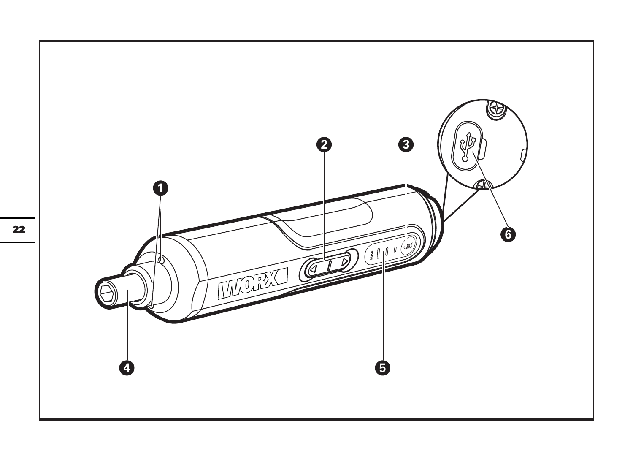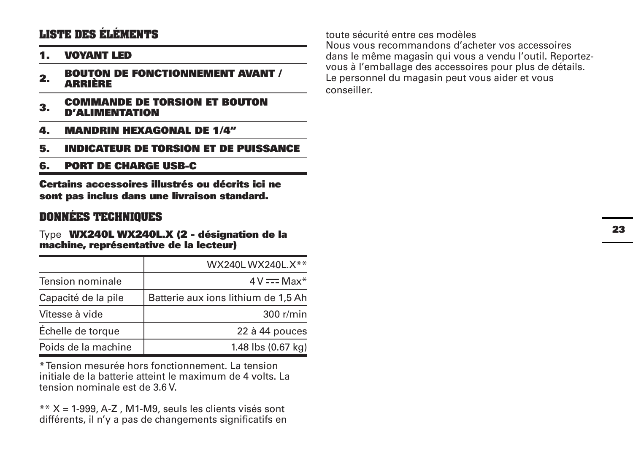## **LISTE DES ÉLÉMENTS**

#### 1. VOYANT LED

- 2. BOUTON DE FONCTIONNEMENT AVANT / ARRIÈRE
- 3. COMMANDE DE TORSION ET BOUTON D'ALIMENTATION
- 4. MANDRIN HEXAGONAL DE 1/4"
- 5. INDICATEUR DE TORSION ET DE PUISSANCE
- 6. PORT DE CHARGE USB-C

Certains accessoires illustrés ou décrits ici ne sont pas inclus dans une livraison standard.

#### **DONNÉES TECHNIQUES**

Type WX240L WX240L.X (2 - désignation de la machine, représentative de la lecteur)

|                     | WX240LWX240L.X**                    |
|---------------------|-------------------------------------|
| Tension nominale    | $4V = Max*$                         |
| Capacité de la pile | Batterie aux ions lithium de 1,5 Ah |
| Vitesse à vide      | 300 r/min                           |
| Échelle de torque   | 22 à 44 pouces                      |
| Poids de la machine | 1.48 lbs $(0.67 \text{ kg})$        |

\* Tension mesurée hors fonctionnement. La tension initiale de la batterie atteint le maximum de 4 volts. La tension nominale est de 3.6 V.

\*\* X = 1-999, A-Z , M1-M9, seuls les clients visés sont différents, il n'y a pas de changements significatifs en toute sécurité entre ces modèles

Nous vous recommandons d'acheter vos accessoires dans le même magasin qui vous a vendu l'outil. Reportezvous à l'emballage des accessoires pour plus de détails. Le personnel du magasin peut vous aider et vous conseiller.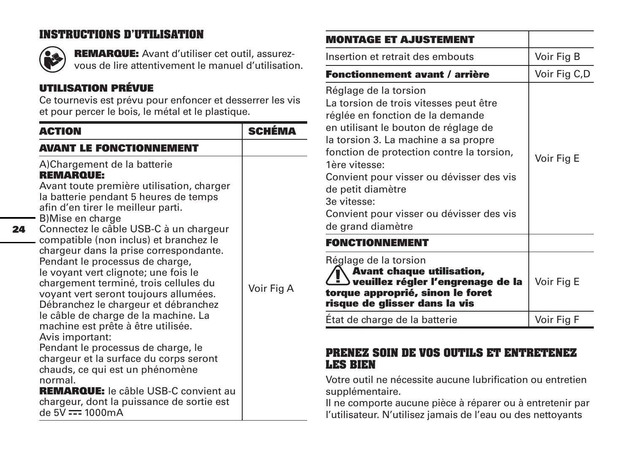## **INSTRUCTIONS D'UTILISATION**



24

REMARQUE: Avant d'utiliser cet outil, assurezvous de lire attentivement le manuel d'utilisation.

## UTILISATION PRÉVUE

Ce tournevis est prévu pour enfoncer et desserrer les vis et pour percer le bois, le métal et le plastique.

| <b>MONTAGE ET AJUSTEMENT</b>                                                                                                                                                                                                                                                                                                                                                                       |              |
|----------------------------------------------------------------------------------------------------------------------------------------------------------------------------------------------------------------------------------------------------------------------------------------------------------------------------------------------------------------------------------------------------|--------------|
| Insertion et retrait des embouts                                                                                                                                                                                                                                                                                                                                                                   | Voir Fig B   |
| Fonctionnement avant / arrière                                                                                                                                                                                                                                                                                                                                                                     | Voir Fig C,D |
| Réglage de la torsion<br>La torsion de trois vitesses peut être<br>réglée en fonction de la demande<br>en utilisant le bouton de réglage de<br>la torsion 3. La machine a sa propre<br>fonction de protection contre la torsion,<br>1ère vitesse:<br>Convient pour visser ou dévisser des vis<br>de petit diamètre<br>3e vitesse:<br>Convient pour visser ou dévisser des vis<br>de grand diamètre | Voir Fig E   |
| <b>FONCTIONNEMENT</b>                                                                                                                                                                                                                                                                                                                                                                              |              |
| Réglage de la torsion<br><b>Avant chaque utilisation,</b><br>veuillez régler l'engrenage de la «<br>torque approprié, sinon le foret<br>risque de glisser dans la vis                                                                                                                                                                                                                              | Voir Fig E   |
| État de charge de la batterie                                                                                                                                                                                                                                                                                                                                                                      | Voir Fig F   |
|                                                                                                                                                                                                                                                                                                                                                                                                    |              |

#### **PRENEZ SOIN DE VOS OUTILS ET ENTRETENEZ LES BIEN**

Votre outil ne nécessite aucune lubrification ou entretien upplémentaire.

ne comporte aucune pièce à réparer ou à entretenir par l'utilisateur. N'utilisez jamais de l'eau ou des nettoyants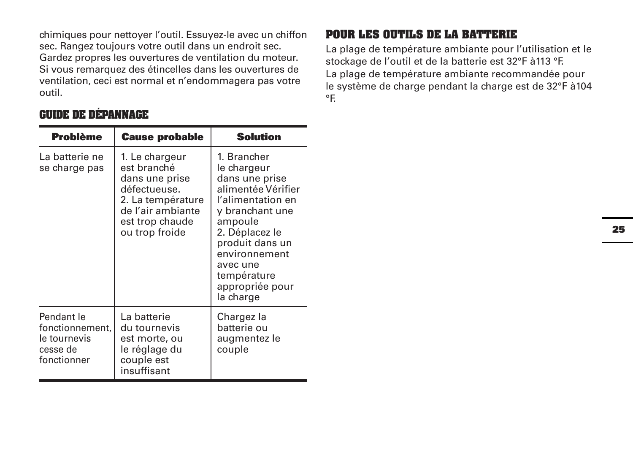chimiques pour nettoyer l'outil. Essuyez-le avec un chiffon sec. Rangez toujours votre outil dans un endroit sec. Gardez propres les ouvertures de ventilation du moteur. Si vous remarquez des étincelles dans les ouvertures de ventilation, ceci est normal et n'endommagera pas votre outil.

## **GUIDE DE DÉPANNAGE**

## **POUR LES OUTILS DE LA BATTERIE**

La plage de température ambiante pour l'utilisation et le stockage de l'outil et de la batterie est 32°F à113 °F. La plage de température ambiante recommandée pour le système de charge pendant la charge est de 32°F à104 °F.

| <b>Problème</b>                                                          | <b>Cause probable</b>                                                                                                                          | <b>Solution</b>                                                                                                                                                                                                                        |
|--------------------------------------------------------------------------|------------------------------------------------------------------------------------------------------------------------------------------------|----------------------------------------------------------------------------------------------------------------------------------------------------------------------------------------------------------------------------------------|
| La batterie ne<br>se charge pas                                          | 1. Le chargeur<br>est branché<br>dans une prise<br>défectueuse.<br>2. La température<br>de l'air ambiante<br>est trop chaude<br>ou trop froide | 1. Brancher<br>le chargeur<br>dans une prise<br>alimentée Vérifier<br>l'alimentation en<br>y branchant une<br>ampoule<br>2. Déplacez le<br>produit dans un<br>environnement<br>avec une<br>température<br>appropriée pour<br>la charge |
| Pendant le<br>fonctionnement,<br>le tournevis<br>cesse de<br>fonctionner | La batterie<br>du tournevis<br>est morte, ou<br>le réglage du<br>couple est<br>insuffisant                                                     | Chargez la<br>batterie ou<br>augmentez le<br>couple                                                                                                                                                                                    |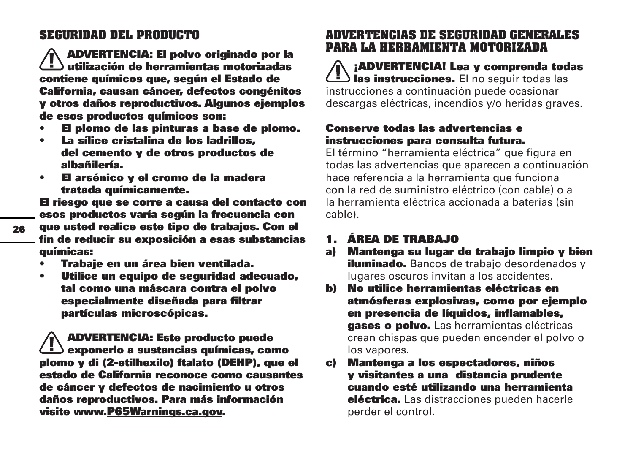## **SEGURIDAD DEL PRODUCTO**

ADVERTENCIA: El polvo originado por la  $\langle \text{!} \rangle$ utilización de herramientas motorizadas contiene químicos que, según el Estado de California, causan cáncer, defectos congénitos y otros daños reproductivos. Algunos ejemplos de esos productos químicos son:

- El plomo de las pinturas a base de plomo.
- La sílice cristalina de los ladrillos, del cemento y de otros productos de albañilería.
- El arsénico y el cromo de la madera tratada químicamente.

El riesgo que se corre a causa del contacto con esos productos varía según la frecuencia con que usted realice este tipo de trabajos. Con el fin de reducir su exposición a esas substancias químicas:

• Trabaje en un área bien ventilada.

26

• Utilice un equipo de seguridad adecuado, tal como una máscara contra el polvo especialmente diseñada para filtrar partículas microscópicas.

ADVERTENCIA: Este producto puede  $\left(\frac{1}{2}\right)$  exponerlo a sustancias químicas, como plomo y di (2-etilhexilo) ftalato (DEHP), que el estado de California reconoce como causantes de cáncer y defectos de nacimiento u otros daños reproductivos. Para más información visite www.P65Warnings.ca.gov.

### **ADVERTENCIAS DE SEGURIDAD GENERALES PARA LA HERRAMIENTA MOTORIZADA**

#### ¡ADVERTENCIA! Lea y comprenda todas  $\sum$  ias instrucciones. El no seguir todas las instrucciones a continuación puede ocasionar descargas eléctricas, incendios y/o heridas graves.

#### Conserve todas las advertencias e instrucciones para consulta futura.

El término "herramienta eléctrica" que figura en todas las advertencias que aparecen a continuación hace referencia a la herramienta que funciona con la red de suministro eléctrico (con cable) o a la herramienta eléctrica accionada a baterías (sin cable).

#### 1. ÁREA DE TRABAJO

- a) Mantenga su lugar de trabajo limpio y bien **iluminado.** Bancos de trabajo desordenados y lugares oscuros invitan a los accidentes.
- b) No utilice herramientas eléctricas en atmósferas explosivas, como por ejemplo en presencia de líquidos, inflamables, gases o polvo. Las herramientas eléctricas crean chispas que pueden encender el polvo o los vapores.
- c) Mantenga a los espectadores, niños y visitantes a una distancia prudente cuando esté utilizando una herramienta eléctrica. Las distracciones pueden hacerle perder el control.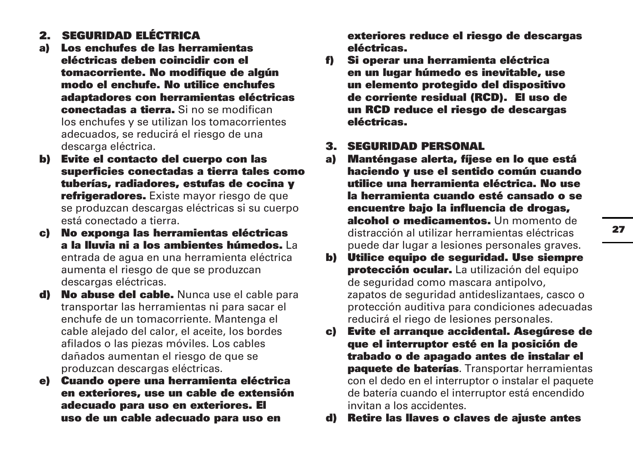#### 2. SEGURIDAD ELÉCTRICA

- a) Los enchufes de las herramientas eléctricas deben coincidir con el tomacorriente. No modifique de algún modo el enchufe. No utilice enchufes adaptadores con herramientas eléctricas conectadas a tierra. Si no se modifican los enchufes y se utilizan los tomacorrientes adecuados, se reducirá el riesgo de una descarga eléctrica.
- b) Evite el contacto del cuerpo con las superficies conectadas a tierra tales como tuberías, radiadores, estufas de cocina y refrigeradores. Existe mayor riesgo de que se produzcan descargas eléctricas si su cuerpo está conectado a tierra.
- c) No exponga las herramientas eléctricas a la lluvia ni a los ambientes húmedos. La entrada de agua en una herramienta eléctrica aumenta el riesgo de que se produzcan descargas eléctricas.
- d) No abuse del cable. Nunca use el cable para transportar las herramientas ni para sacar el enchufe de un tomacorriente. Mantenga el cable alejado del calor, el aceite, los bordes afilados o las piezas móviles. Los cables dañados aumentan el riesgo de que se produzcan descargas eléctricas.
- e) Cuando opere una herramienta eléctrica en exteriores, use un cable de extensión adecuado para uso en exteriores. El uso de un cable adecuado para uso en

exteriores reduce el riesgo de descargas eléctricas.

f) Si operar una herramienta eléctrica en un lugar húmedo es inevitable, use un elemento protegido del dispositivo de corriente residual (RCD). El uso de un RCD reduce el riesgo de descargas eléctricas.

#### 3. SEGURIDAD PERSONAL

- a) Manténgase alerta, fíjese en lo que está haciendo y use el sentido común cuando utilice una herramienta eléctrica. No use la herramienta cuando esté cansado o se encuentre bajo la influencia de drogas, alcohol o medicamentos. Un momento de distracción al utilizar herramientas eléctricas puede dar lugar a lesiones personales graves.
- b) Utilice equipo de seguridad. Use siempre **protección ocular.** La utilización del equipo de seguridad como mascara antipolvo, zapatos de seguridad antideslizantaes, casco o protección auditiva para condiciones adecuadas reducirá el riego de lesiones personales.
- c) Evite el arranque accidental. Asegúrese de que el interruptor esté en la posición de trabado o de apagado antes de instalar el **paquete de baterías**. Transportar herramientas con el dedo en el interruptor o instalar el paquete de batería cuando el interruptor está encendido invitan a los accidentes.
- d) Retire las llaves o claves de ajuste antes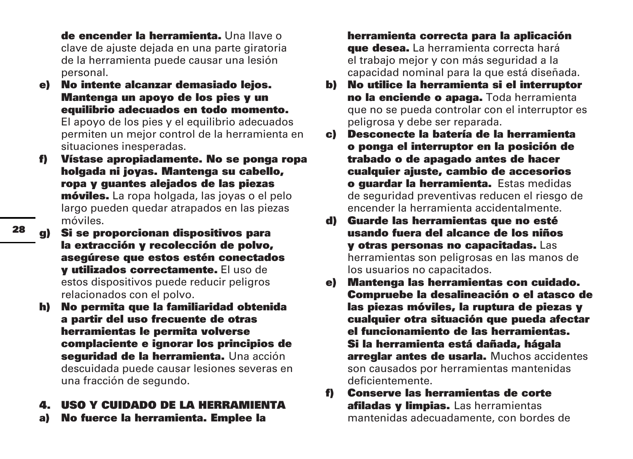de encender la herramienta. Una llave o clave de ajuste dejada en una parte giratoria de la herramienta puede causar una lesión personal.

- e) No intente alcanzar demasiado lejos. Mantenga un apoyo de los pies y un equilibrio adecuados en todo momento. El apoyo de los pies y el equilibrio adecuados permiten un mejor control de la herramienta en situaciones inesperadas.
- f) Vístase apropiadamente. No se ponga ropa holgada ni joyas. Mantenga su cabello, ropa y guantes alejados de las piezas móviles. La ropa holgada, las joyas o el pelo largo pueden quedar atrapados en las piezas móviles.
- Si se proporcionan dispositivos para la extracción y recolección de polvo, asegúrese que estos estén conectados y utilizados correctamente. El uso de estos dispositivos puede reducir peligros relacionados con el polvo.
- h) No permita que la familiaridad obtenida a partir del uso frecuente de otras herramientas le permita volverse complaciente e ignorar los principios de seguridad de la herramienta. Una acción descuidada puede causar lesiones severas en una fracción de segundo.

## 4. USO Y CUIDADO DE LA HERRAMIENTA

a) No fuerce la herramienta. Emplee la

herramienta correcta para la aplicación que desea. La herramienta correcta hará el trabajo mejor y con más seguridad a la capacidad nominal para la que está diseñada.

- b) No utilice la herramienta si el interruptor no la enciende o apaga. Toda herramienta que no se pueda controlar con el interruptor es peligrosa y debe ser reparada.
- c) Desconecte la batería de la herramienta o ponga el interruptor en la posición de trabado o de apagado antes de hacer cualquier ajuste, cambio de accesorios o guardar la herramienta. Estas medidas de seguridad preventivas reducen el riesgo de encender la herramienta accidentalmente.
- d) Guarde las herramientas que no esté usando fuera del alcance de los niños y otras personas no capacitadas. Las herramientas son peligrosas en las manos de los usuarios no capacitados.
- e) Mantenga las herramientas con cuidado. Compruebe la desalineación o el atasco de las piezas móviles, la ruptura de piezas y cualquier otra situación que pueda afectar el funcionamiento de las herramientas. Si la herramienta está dañada, hágala arreglar antes de usarla. Muchos accidentes son causados por herramientas mantenidas deficientemente.
- f) Conserve las herramientas de corte afiladas v limpias. Las herramientas mantenidas adecuadamente, con bordes de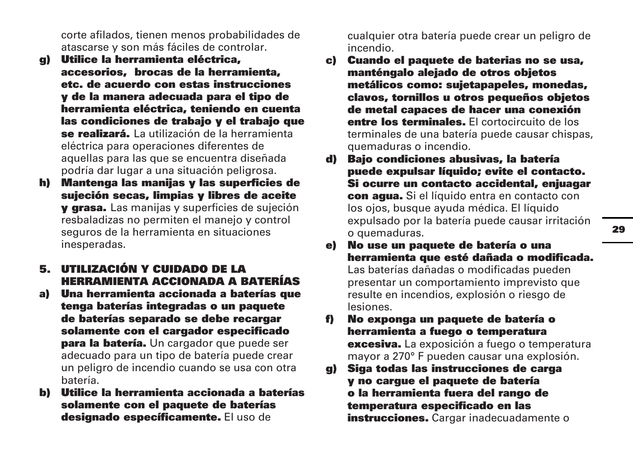corte afilados, tienen menos probabilidades de atascarse y son más fáciles de controlar.

- g) Utilice la herramienta eléctrica, accesorios, brocas de la herramienta, etc. de acuerdo con estas instrucciones y de la manera adecuada para el tipo de herramienta eléctrica, teniendo en cuenta las condiciones de trabajo y el trabajo que se realizará. La utilización de la herramienta eléctrica para operaciones diferentes de aquellas para las que se encuentra diseñada podría dar lugar a una situación peligrosa.
- h) Mantenga las manijas y las superficies de sujeción secas, limpias y libres de aceite **v grasa.** Las manijas y superficies de sujeción resbaladizas no permiten el manejo y control seguros de la herramienta en situaciones inesperadas.
- 5. UTILIZACIÓN Y CUIDADO DE LA HERRAMIENTA ACCIONADA A BATERÍAS
- a) Una herramienta accionada a baterías que tenga baterías integradas o un paquete de baterías separado se debe recargar solamente con el cargador especificado para la batería. Un cargador que puede ser adecuado para un tipo de batería puede crear un peligro de incendio cuando se usa con otra batería.
- b) Utilice la herramienta accionada a baterías solamente con el paquete de baterías designado específicamente. El uso de

cualquier otra batería puede crear un peligro de incendio.

- c) Cuando el paquete de baterias no se usa, manténgalo alejado de otros objetos metálicos como: sujetapapeles, monedas, clavos, tornillos u otros pequeños objetos de metal capaces de hacer una conexión entre los terminales. El cortocircuito de los terminales de una batería puede causar chispas, quemaduras o incendio.
- d) Bajo condiciones abusivas, la batería puede expulsar líquido; evite el contacto. Si ocurre un contacto accidental, enjuagar con agua. Si el líquido entra en contacto con los ojos, busque ayuda médica. El líquido expulsado por la batería puede causar irritación o quemaduras.
- e) No use un paquete de batería o una herramienta que esté dañada o modificada. Las baterías dañadas o modificadas pueden presentar un comportamiento imprevisto que resulte en incendios, explosión o riesgo de lesiones.
- f) No exponga un paquete de batería o herramienta a fuego o temperatura excesiva. La exposición a fuego o temperatura mayor a 270° F pueden causar una explosión.
- g) Siga todas las instrucciones de carga y no cargue el paquete de batería o la herramienta fuera del rango de temperatura especificado en las instrucciones. Cargar inadecuadamente o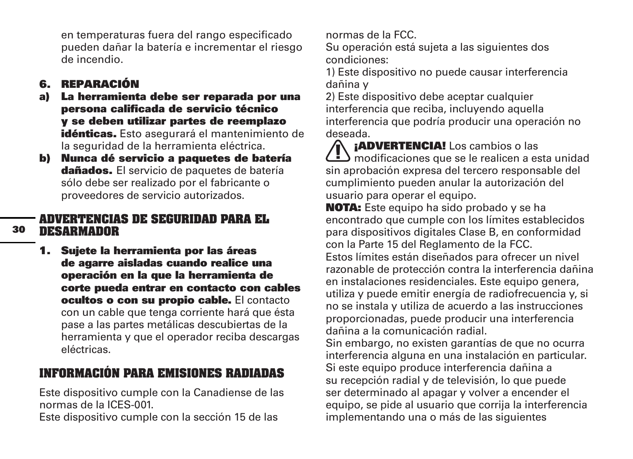en temperaturas fuera del rango especificado pueden dañar la batería e incrementar el riesgo de incendio.

## 6. REPARACIÓN

- a) La herramienta debe ser reparada por una persona calificada de servicio técnico y se deben utilizar partes de reemplazo idénticas. Esto asegurará el mantenimiento de la seguridad de la herramienta eléctrica.
- b) Nunca dé servicio a paquetes de batería dañados. El servicio de paquetes de batería sólo debe ser realizado por el fabricante o proveedores de servicio autorizados.

#### 30 **ADVERTENCIAS DE SEGURIDAD PARA EL DESARMADOR**

1. Sujete la herramienta por las áreas de agarre aisladas cuando realice una operación en la que la herramienta de corte pueda entrar en contacto con cables ocultos o con su propio cable. El contacto con un cable que tenga corriente hará que ésta pase a las partes metálicas descubiertas de la herramienta y que el operador reciba descargas eléctricas.

## **INFORMACIÓN PARA EMISIONES RADIADAS**

Este dispositivo cumple con la Canadiense de las normas de la ICES-001.

Este dispositivo cumple con la sección 15 de las

normas de la FCC.

Su operación está sujeta a las siguientes dos condiciones:

1) Este dispositivo no puede causar interferencia dañina y

2) Este dispositivo debe aceptar cualquier interferencia que reciba, incluyendo aquella interferencia que podría producir una operación no deseada.

**A :ADVERTENCIA!** Los cambios o las  $\Box$  modificaciones que se le realicen a esta unidad sin aprobación expresa del tercero responsable del cumplimiento pueden anular la autorización del usuario para operar el equipo.

NOTA: Este equipo ha sido probado y se ha encontrado que cumple con los límites establecidos para dispositivos digitales Clase B, en conformidad con la Parte 15 del Reglamento de la FCC. Estos límites están diseñados para ofrecer un nivel razonable de protección contra la interferencia dañina en instalaciones residenciales. Este equipo genera, utiliza y puede emitir energía de radiofrecuencia y, si no se instala y utiliza de acuerdo a las instrucciones proporcionadas, puede producir una interferencia dañina a la comunicación radial.

Sin embargo, no existen garantías de que no ocurra interferencia alguna en una instalación en particular. Si este equipo produce interferencia dañina a su recepción radial y de televisión, lo que puede ser determinado al apagar y volver a encender el equipo, se pide al usuario que corrija la interferencia implementando una o más de las siguientes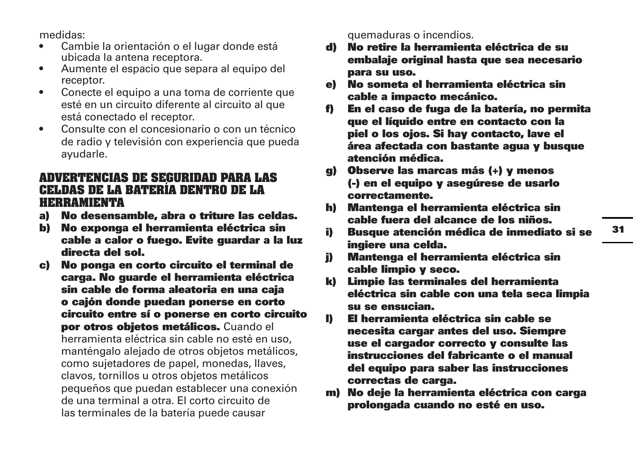medidas:

- Cambie la orientación o el lugar donde está ubicada la antena receptora.
- Aumente el espacio que separa al equipo del receptor.
- Conecte el equipo a una toma de corriente que esté en un circuito diferente al circuito al que está conectado el receptor.
- Consulte con el concesionario o con un técnico de radio y televisión con experiencia que pueda ayudarle.

#### **ADVERTENCIAS DE SEGURIDAD PARA LAS CELDAS DE LA BATERÍA DENTRO DE LA HERRAMIENTA**

- a) No desensamble, abra o triture las celdas.
- b) No exponga el herramienta eléctrica sin cable a calor o fuego. Evite guardar a la luz directa del sol.
- c) No ponga en corto circuito el terminal de carga. No guarde el herramienta eléctrica sin cable de forma aleatoria en una caja o cajón donde puedan ponerse en corto circuito entre sí o ponerse en corto circuito por otros objetos metálicos. Cuando el herramienta eléctrica sin cable no esté en uso, manténgalo alejado de otros objetos metálicos, como sujetadores de papel, monedas, llaves, clavos, tornillos u otros objetos metálicos pequeños que puedan establecer una conexión de una terminal a otra. El corto circuito de las terminales de la batería puede causar

quemaduras o incendios.

- d) No retire la herramienta eléctrica de su embalaje original hasta que sea necesario para su uso.
- e) No someta el herramienta eléctrica sin cable a impacto mecánico.
- f) En el caso de fuga de la batería, no permita que el líquido entre en contacto con la piel o los ojos. Si hay contacto, lave el área afectada con bastante agua y busque atención médica.
- g) Observe las marcas más (+) y menos (-) en el equipo y asegúrese de usarlo correctamente.
- h) Mantenga el herramienta eléctrica sin cable fuera del alcance de los niños.
- i) Busque atención médica de inmediato si se ingiere una celda.
- j) Mantenga el herramienta eléctrica sin cable limpio y seco.
- k) Limpie las terminales del herramienta eléctrica sin cable con una tela seca limpia su se ensucian.
- l) El herramienta eléctrica sin cable se necesita cargar antes del uso. Siempre use el cargador correcto y consulte las instrucciones del fabricante o el manual del equipo para saber las instrucciones correctas de carga.
- m) No deje la herramienta eléctrica con carga prolongada cuando no esté en uso.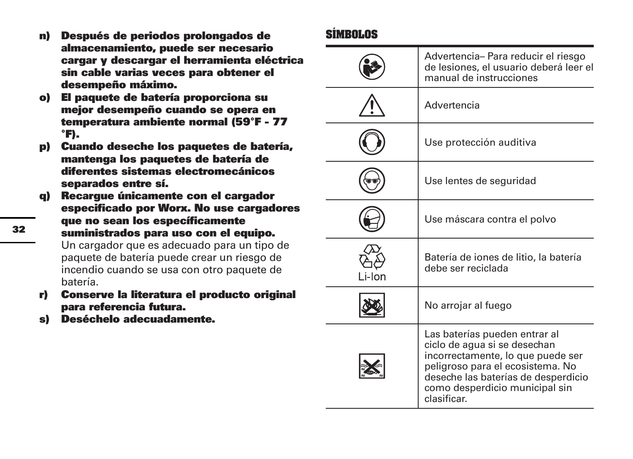- n) Después de periodos prolongados de almacenamiento, puede ser necesario cargar y descargar el herramienta eléctrica sin cable varias veces para obtener el desempeño máximo.
- o) El paquete de batería proporciona su mejor desempeño cuando se opera en temperatura ambiente normal (59°F - 77 °F).
- p) Cuando deseche los paquetes de batería, mantenga los paquetes de batería de diferentes sistemas electromecánicos separados entre sí.
- q) Recargue únicamente con el cargador especificado por Worx. No use cargadores que no sean los específicamente
- suministrados para uso con el equipo. Un cargador que es adecuado para un tipo de paquete de batería puede crear un riesgo de incendio cuando se usa con otro paquete de batería.
- r) Conserve la literatura el producto original para referencia futura.
- s) Deséchelo adecuadamente.

## **SÍMBOLOS**

|         | Advertencia- Para reducir el riesgo<br>de lesiones, el usuario deberá leer el<br>manual de instrucciones                                                                                                                       |
|---------|--------------------------------------------------------------------------------------------------------------------------------------------------------------------------------------------------------------------------------|
|         | Advertencia                                                                                                                                                                                                                    |
|         | Use protección auditiva                                                                                                                                                                                                        |
|         | Use lentes de seguridad                                                                                                                                                                                                        |
|         | Use máscara contra el polvo                                                                                                                                                                                                    |
| l i-lon | Batería de iones de litio, la batería<br>debe ser reciclada                                                                                                                                                                    |
|         | No arrojar al fuego                                                                                                                                                                                                            |
|         | Las baterías pueden entrar al<br>ciclo de agua si se desechan<br>incorrectamente, lo que puede ser<br>peligroso para el ecosistema. No<br>deseche las baterías de desperdicio<br>como desperdicio municipal sin<br>clasificar. |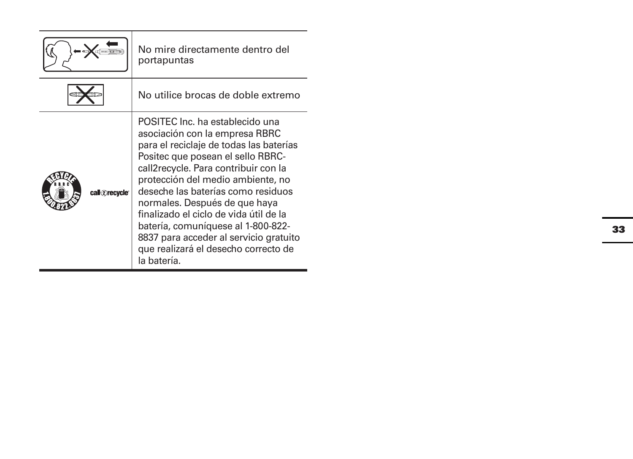|                | No mire directamente dentro del<br>portapuntas                                                                                                                                                                                                                                                                                                                                                                                                                                         |
|----------------|----------------------------------------------------------------------------------------------------------------------------------------------------------------------------------------------------------------------------------------------------------------------------------------------------------------------------------------------------------------------------------------------------------------------------------------------------------------------------------------|
|                | No utilice brocas de doble extremo                                                                                                                                                                                                                                                                                                                                                                                                                                                     |
| call 2 recycle | POSITEC Inc. ha establecido una<br>asociación con la empresa RBRC<br>para el reciclaje de todas las baterías<br>Positec que posean el sello RBRC-<br>call2recycle. Para contribuir con la<br>protección del medio ambiente, no<br>deseche las baterías como residuos<br>normales. Después de que haya<br>finalizado el ciclo de vida útil de la<br>batería, comuníquese al 1-800-822-<br>8837 para acceder al servicio gratuito<br>que realizará el desecho correcto de<br>la batería. |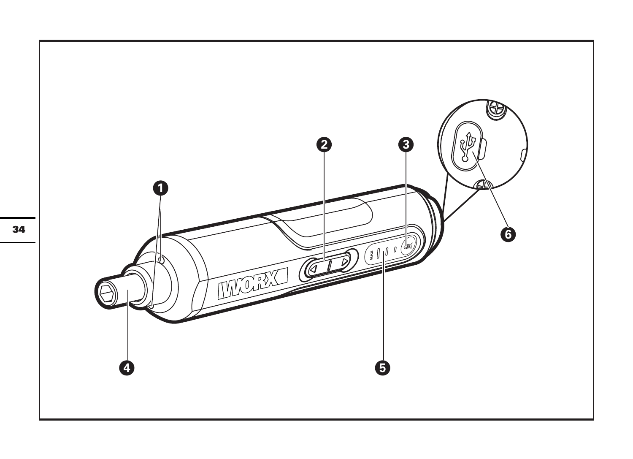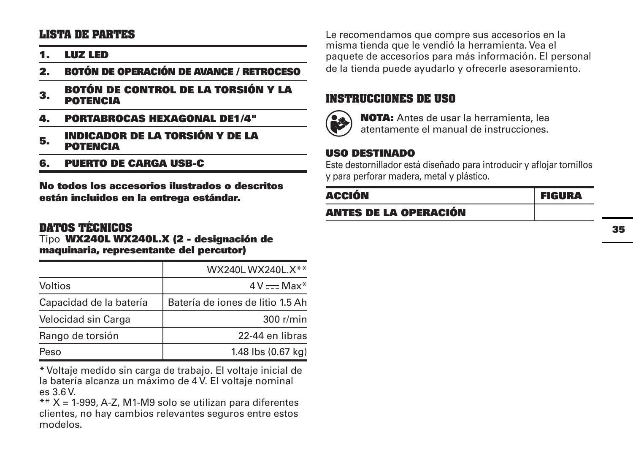#### **LISTA DE PARTES**

#### $1.117$  LED

- 2. BOTÓN DE OPERACIÓN DE AVANCE / RETROCESO
- 3. BOTÓN DE CONTROL DE LA TORSIÓN Y LA **POTENCIA**
- 4. PORTABROCAS HEXAGONAL DE1/4"
- 5. INDICADOR DE LA TORSIÓN Y DE LA POTENCIA
- 6. PUERTO DE CARGA USB-C

No todos los accesorios ilustrados o descritos están incluidos en la entrega estándar.

#### **DATOS TÉCNICOS** Tipo WX240L WX240L.X (2 - designación de maquinaria, representante del percutor)

|                         | WX240LWX240L.X**                 |
|-------------------------|----------------------------------|
| Voltios                 | $4V -$ Max <sup>*</sup>          |
| Capacidad de la batería | Batería de iones de litio 1.5 Ah |
| Velocidad sin Carga     | 300 r/min                        |
| Rango de torsión        | 22-44 en libras                  |
| Peso                    | 1.48 lbs (0.67 kg)               |

\* Voltaje medido sin carga de trabajo. El voltaje inicial de la batería alcanza un máximo de 4 V. El voltaje nominal es 3.6 V.

\*\* X = 1-999, A-Z, M1-M9 solo se utilizan para diferentes clientes, no hay cambios relevantes seguros entre estos modelos.

Le recomendamos que compre sus accesorios en la misma tienda que le vendió la herramienta. Vea el paquete de accesorios para más información. El personal de la tienda puede ayudarlo y ofrecerle asesoramiento.

#### **INSTRUCCIONES DE USO**



NOTA: Antes de usar la herramienta, lea atentamente el manual de instrucciones.

#### USO DESTINADO

Este destornillador está diseñado para introducir y aflojar tornillos y para perforar madera, metal y plástico.

| ACCIÓN                | <b>FIGURA</b> |
|-----------------------|---------------|
| ANTES DE LA OPERACIÓN |               |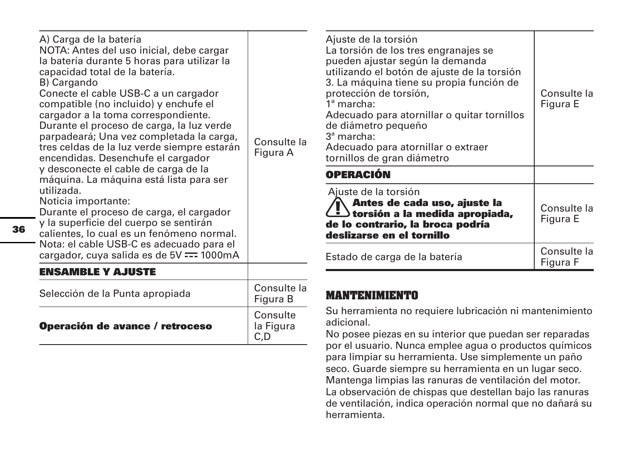| A) Carga de la batería<br>NOTA: Antes del uso inicial, debe cargar<br>la batería durante 5 horas para utilizar la<br>capacidad total de la batería.<br>B) Cargando<br>Conecte el cable USB-C a un cargador<br>compatible (no incluido) y enchufe el<br>cargador a la toma correspondiente.<br>Durante el proceso de carga, la luz verde<br>parpadeará; Una vez completada la carga,<br>tres celdas de la luz verde siempre estarán<br>encendidas. Desenchufe el cargador<br>y desconecte el cable de carga de la<br>máquina. La máquina está lista para ser<br>utilizada.<br>Noticia importante:<br>Durante el proceso de carga, el cargador<br>y la superficie del cuerpo se sentirán<br>calientes, lo cual es un fenómeno normal.<br>Nota: el cable USB-C es adecuado para el<br>cargador, cuya salida es de 5V = 1000mA | Consulte la<br>Figura A      | Ajuste de la torsión<br>La torsión de los tres engranajes se<br>pueden ajustar según la demanda<br>utilizando el botón de ajuste de la torsión<br>3. La máquina tiene su propia función de<br>protección de torsión,<br>1ª marcha:<br>Adecuado para atornillar o quitar tornillos<br>de diámetro pequeño<br>$3a$ marcha:<br>Adecuado para atornillar o extraer<br>tornillos de gran diámetro<br><b>OPERACIÓN</b><br>Aiuste de la torsión<br>Antes de cada uso, ajuste la<br>torsión a la medida apropiada,<br>de lo contrario, la broca podría<br>deslizarse en el tornillo<br>Estado de carga de la batería | Consulte la<br>Figura E<br>Consulte la<br>Figura E<br>Consulte la<br>Figura F |
|----------------------------------------------------------------------------------------------------------------------------------------------------------------------------------------------------------------------------------------------------------------------------------------------------------------------------------------------------------------------------------------------------------------------------------------------------------------------------------------------------------------------------------------------------------------------------------------------------------------------------------------------------------------------------------------------------------------------------------------------------------------------------------------------------------------------------|------------------------------|--------------------------------------------------------------------------------------------------------------------------------------------------------------------------------------------------------------------------------------------------------------------------------------------------------------------------------------------------------------------------------------------------------------------------------------------------------------------------------------------------------------------------------------------------------------------------------------------------------------|-------------------------------------------------------------------------------|
| <b>ENSAMBLE Y AJUSTE</b>                                                                                                                                                                                                                                                                                                                                                                                                                                                                                                                                                                                                                                                                                                                                                                                                   |                              |                                                                                                                                                                                                                                                                                                                                                                                                                                                                                                                                                                                                              |                                                                               |
| Selección de la Punta apropiada                                                                                                                                                                                                                                                                                                                                                                                                                                                                                                                                                                                                                                                                                                                                                                                            | Consulte la<br>Figura B      | <b>MANTENIMIENTO</b>                                                                                                                                                                                                                                                                                                                                                                                                                                                                                                                                                                                         |                                                                               |
| Operación de avance / retroceso                                                                                                                                                                                                                                                                                                                                                                                                                                                                                                                                                                                                                                                                                                                                                                                            | Consulte<br>la Figura<br>C,D | Su herramienta no requiere lubricación ni mantenimiento<br>adicional.<br>No posee piezas en su interior que puedan ser reparadas                                                                                                                                                                                                                                                                                                                                                                                                                                                                             |                                                                               |

No posee piezas en su interior que puedan ser reparadas por el usuario. Nunca emplee agua o productos químicos para limpiar su herramienta. Use simplemente un paño seco. Guarde siempre su herramienta en un lugar seco. Mantenga limpias las ranuras de ventilación del motor. La observación de chispas que destellan bajo las ranuras de ventilación, indica operación normal que no dañará su herramienta.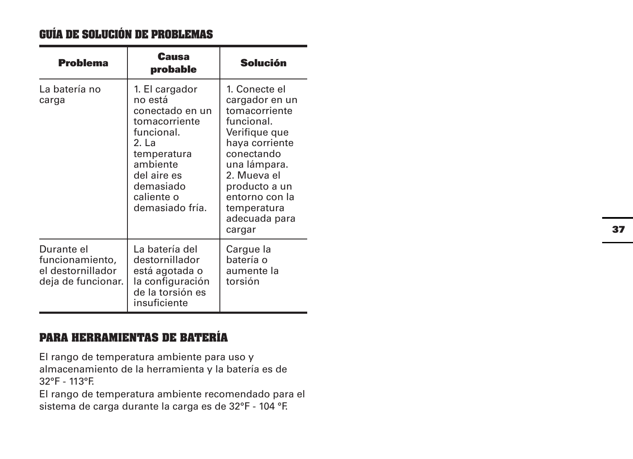## **GUÍA DE SOLUCIÓN DE PROBLEMAS**

| <b>Problema</b>                                                          | Causa<br>probable                                                                                                                                                            | Solución                                                                                                                                                                                                                    |
|--------------------------------------------------------------------------|------------------------------------------------------------------------------------------------------------------------------------------------------------------------------|-----------------------------------------------------------------------------------------------------------------------------------------------------------------------------------------------------------------------------|
| La batería no<br>carga                                                   | 1. El cargador<br>no está<br>conectado en un<br>tomacorriente<br>funcional.<br>2. La<br>temperatura<br>ambiente<br>del aire es<br>demasiado<br>caliente o<br>demasiado fría. | 1. Conecte el<br>cargador en un<br>tomacorriente<br>funcional.<br>Verifique que<br>haya corriente<br>conectando<br>una lámpara.<br>2. Mueva el<br>producto a un<br>entorno con la<br>temperatura<br>adecuada para<br>cargar |
| Durante el<br>funcionamiento,<br>el destornillador<br>deja de funcionar. | La batería del<br>destornillador<br>está agotada o<br>la configuración<br>de la torsión es<br>insuficiente                                                                   | Cargue la<br>batería o<br>aumente la<br>torsión                                                                                                                                                                             |

## **PARA HERRAMIENTAS DE BATERÍA**

El rango de temperatura ambiente para uso y almacenamiento de la herramienta y la batería es de 32°F - 113°F.

El rango de temperatura ambiente recomendado para el sistema de carga durante la carga es de 32°F - 104 °F.